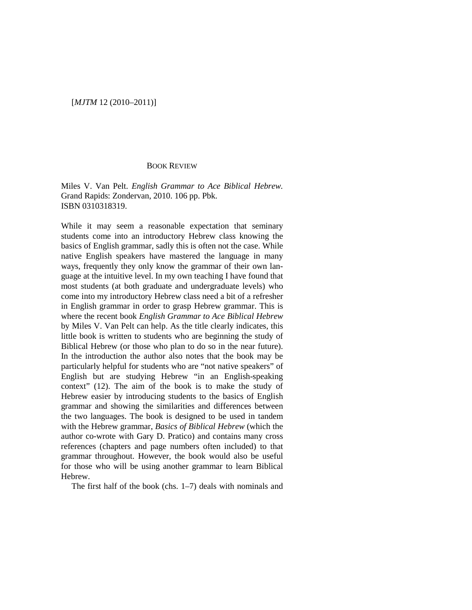## [*MJTM* 12 (2010–2011)]

## BOOK REVIEW

Miles V. Van Pelt. *English Grammar to Ace Biblical Hebrew.*  Grand Rapids: Zondervan, 2010. 106 pp. Pbk. ISBN 0310318319.

While it may seem a reasonable expectation that seminary students come into an introductory Hebrew class knowing the basics of English grammar, sadly this is often not the case. While native English speakers have mastered the language in many ways, frequently they only know the grammar of their own language at the intuitive level. In my own teaching I have found that most students (at both graduate and undergraduate levels) who come into my introductory Hebrew class need a bit of a refresher in English grammar in order to grasp Hebrew grammar. This is where the recent book *English Grammar to Ace Biblical Hebrew* by Miles V. Van Pelt can help. As the title clearly indicates, this little book is written to students who are beginning the study of Biblical Hebrew (or those who plan to do so in the near future). In the introduction the author also notes that the book may be particularly helpful for students who are "not native speakers" of English but are studying Hebrew "in an English-speaking context" (12). The aim of the book is to make the study of Hebrew easier by introducing students to the basics of English grammar and showing the similarities and differences between the two languages. The book is designed to be used in tandem with the Hebrew grammar, *Basics of Biblical Hebrew* (which the author co-wrote with Gary D. Pratico) and contains many cross references (chapters and page numbers often included) to that grammar throughout. However, the book would also be useful for those who will be using another grammar to learn Biblical Hebrew.

The first half of the book (chs. 1–7) deals with nominals and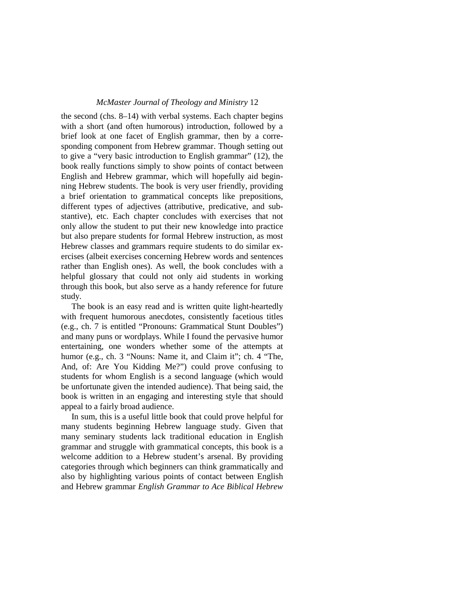## *McMaster Journal of Theology and Ministry* 12

the second (chs. 8–14) with verbal systems. Each chapter begins with a short (and often humorous) introduction, followed by a brief look at one facet of English grammar, then by a corresponding component from Hebrew grammar. Though setting out to give a "very basic introduction to English grammar" (12), the book really functions simply to show points of contact between English and Hebrew grammar, which will hopefully aid beginning Hebrew students. The book is very user friendly, providing a brief orientation to grammatical concepts like prepositions, different types of adjectives (attributive, predicative, and substantive), etc. Each chapter concludes with exercises that not only allow the student to put their new knowledge into practice but also prepare students for formal Hebrew instruction, as most Hebrew classes and grammars require students to do similar exercises (albeit exercises concerning Hebrew words and sentences rather than English ones). As well, the book concludes with a helpful glossary that could not only aid students in working through this book, but also serve as a handy reference for future study.

The book is an easy read and is written quite light-heartedly with frequent humorous anecdotes, consistently facetious titles (e.g., ch. 7 is entitled "Pronouns: Grammatical Stunt Doubles") and many puns or wordplays. While I found the pervasive humor entertaining, one wonders whether some of the attempts at humor (e.g., ch. 3 "Nouns: Name it, and Claim it"; ch. 4 "The, And, of: Are You Kidding Me?") could prove confusing to students for whom English is a second language (which would be unfortunate given the intended audience). That being said, the book is written in an engaging and interesting style that should appeal to a fairly broad audience.

In sum, this is a useful little book that could prove helpful for many students beginning Hebrew language study. Given that many seminary students lack traditional education in English grammar and struggle with grammatical concepts, this book is a welcome addition to a Hebrew student's arsenal. By providing categories through which beginners can think grammatically and also by highlighting various points of contact between English and Hebrew grammar *English Grammar to Ace Biblical Hebrew*